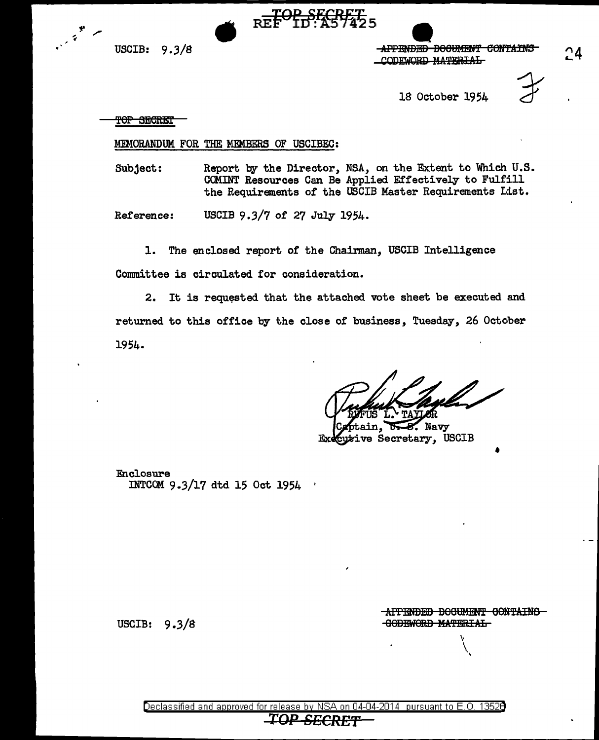

USCIB: 9.3/8 REF ID: A57425<br>USCIB: 9.3/8 APPENDED DOCUMENT CONTAINS<br>CODEWORD MATERIAL CODEWORD MATERIAL

18 October 1954



TOP SECRET

## MEMORANDUM FOR THE MEMBERS OF USCIBEC:

Subject: Report by the Director, NSA, on the Extent to Which U.S. COMINT Resources Can Be Applied Effectively to Fulfill the Requirements *of* the USCIB Master Requirements List.

Reference: USCIB 9.3/7 of 27 July 1954.

1. The enclosed report of the Chainnan, USCIB Intelligence Committee is circulated for consideration.

2. It is requested that the attached vote sheet be executed and returned to this office by the close of business, Tuesday, 26 October 1954.

 $\sim$  Navy R ive Secretary, USCIB Еx

Enclosure INTCOM 9-3/17 dtd 15 Oct 1954 •

USCIB: 9.3/S

**APPENDED BOOUMENT CONTAINS GODEWORD MATERIAL** 

> \•  $\setminus$ '

•

~4